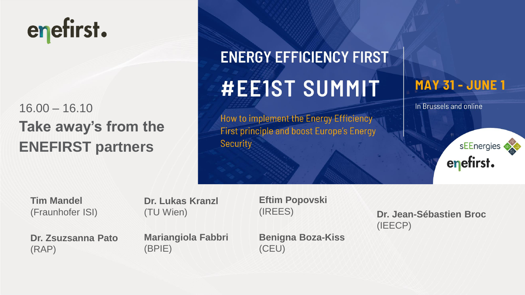# enefirst.

## 16.00 – 16.10 **Take away's from the ENEFIRST partners**

## **ENERGY EFFICIENCY FIRST #EE1ST SUMMIT**

How to implement the Energy Efficiency **First principle and boost Europe's Energy Security** 

#### **MAY 31 - JUNE 1**

In Brussels and online

sEEnergies enefirst.

**Tim Mandel**  (Fraunhofer ISI) **Dr. Lukas Kranzl**  (TU Wien)

**Eftim Popovski** (IREES)

**Dr. Zsuzsanna Pato**  (RAP)

**Mariangiola Fabbri**  (BPIE)

**Benigna Boza-Kiss**  (CEU)

**Dr. Jean-Sébastien Broc**  (IEECP)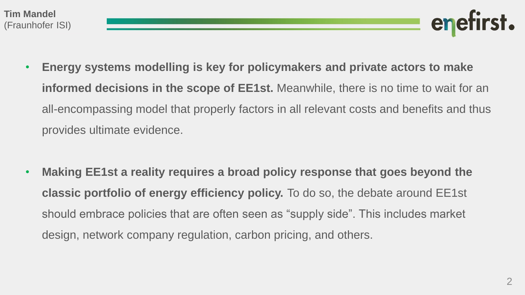- **Energy systems modelling is key for policymakers and private actors to make informed decisions in the scope of EE1st.** Meanwhile, there is no time to wait for an all-encompassing model that properly factors in all relevant costs and benefits and thus provides ultimate evidence.
- **Making EE1st a reality requires a broad policy response that goes beyond the classic portfolio of energy efficiency policy.** To do so, the debate around EE1st should embrace policies that are often seen as "supply side". This includes market design, network company regulation, carbon pricing, and others.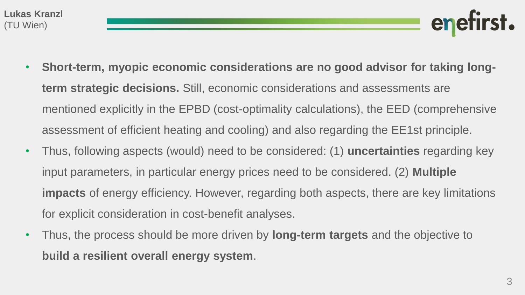- **Short-term, myopic economic considerations are no good advisor for taking longterm strategic decisions.** Still, economic considerations and assessments are mentioned explicitly in the EPBD (cost-optimality calculations), the EED (comprehensive assessment of efficient heating and cooling) and also regarding the EE1st principle.
- Thus, following aspects (would) need to be considered: (1) **uncertainties** regarding key input parameters, in particular energy prices need to be considered. (2) **Multiple impacts** of energy efficiency. However, regarding both aspects, there are key limitations for explicit consideration in cost-benefit analyses.
- Thus, the process should be more driven by **long-term targets** and the objective to **build a resilient overall energy system**.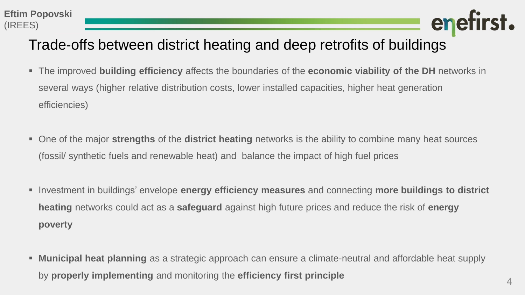

### Trade-offs between district heating and deep retrofits of buildings

- The improved **building efficiency** affects the boundaries of the **economic viability of the DH** networks in several ways (higher relative distribution costs, lower installed capacities, higher heat generation efficiencies)
- One of the major **strengths** of the **district heating** networks is the ability to combine many heat sources (fossil/ synthetic fuels and renewable heat) and balance the impact of high fuel prices
- Investment in buildings' envelope **energy efficiency measures** and connecting **more buildings to district heating** networks could act as a **safeguard** against high future prices and reduce the risk of **energy poverty**
- **Municipal heat planning** as a strategic approach can ensure a climate-neutral and affordable heat supply by **properly implementing** and monitoring the **efficiency first principle**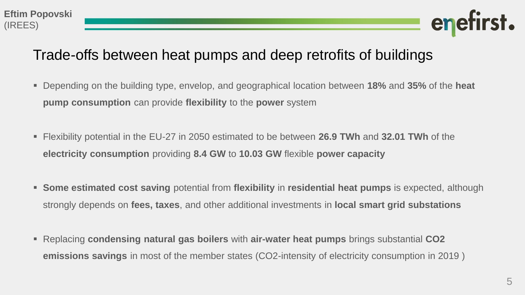

#### Trade-offs between heat pumps and deep retrofits of buildings

- Depending on the building type, envelop, and geographical location between **18%** and **35%** of the **heat pump consumption** can provide **flexibility** to the **power** system
- Flexibility potential in the EU-27 in 2050 estimated to be between **26.9 TWh** and **32.01 TWh** of the **electricity consumption** providing **8.4 GW** to **10.03 GW** flexible **power capacity**
- **Some estimated cost saving** potential from **flexibility** in **residential heat pumps** is expected, although strongly depends on **fees, taxes**, and other additional investments in **local smart grid substations**
- Replacing **condensing natural gas boilers** with **air-water heat pumps** brings substantial **CO2 emissions savings** in most of the member states (CO2-intensity of electricity consumption in 2019 )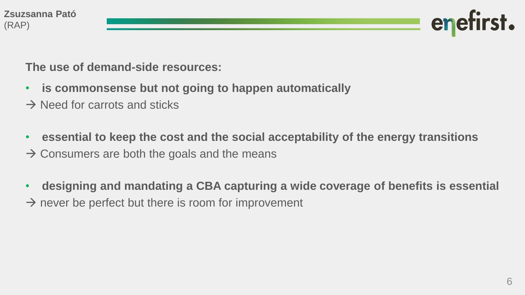**The use of demand-side resources:**

- **is commonsense but not going to happen automatically**
- $\rightarrow$  Need for carrots and sticks
- **essential to keep the cost and the social acceptability of the energy transitions**
- $\rightarrow$  Consumers are both the goals and the means
- **designing and mandating a CBA capturing a wide coverage of benefits is essential**
- $\rightarrow$  never be perfect but there is room for improvement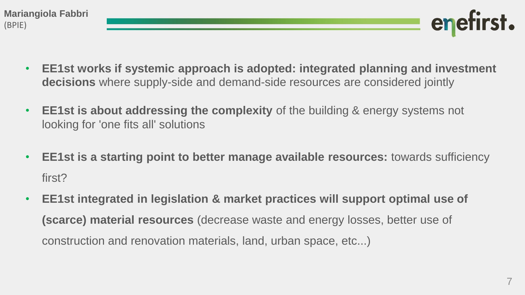

- **EE1st works if systemic approach is adopted: integrated planning and investment decisions** where supply-side and demand-side resources are considered jointly
- **EE1st is about addressing the complexity** of the building & energy systems not looking for 'one fits all' solutions
- **EE1st is a starting point to better manage available resources:** towards sufficiency first?
- **EE1st integrated in legislation & market practices will support optimal use of (scarce) material resources** (decrease waste and energy losses, better use of construction and renovation materials, land, urban space, etc...)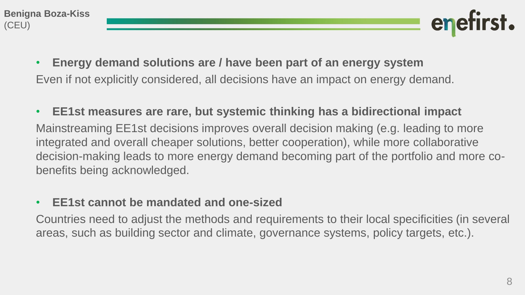- **Energy demand solutions are / have been part of an energy system** Even if not explicitly considered, all decisions have an impact on energy demand.
- **EE1st measures are rare, but systemic thinking has a bidirectional impact** Mainstreaming EE1st decisions improves overall decision making (e.g. leading to more integrated and overall cheaper solutions, better cooperation), while more collaborative decision-making leads to more energy demand becoming part of the portfolio and more cobenefits being acknowledged.

#### • **EE1st cannot be mandated and one-sized**

Countries need to adjust the methods and requirements to their local specificities (in several areas, such as building sector and climate, governance systems, policy targets, etc.).